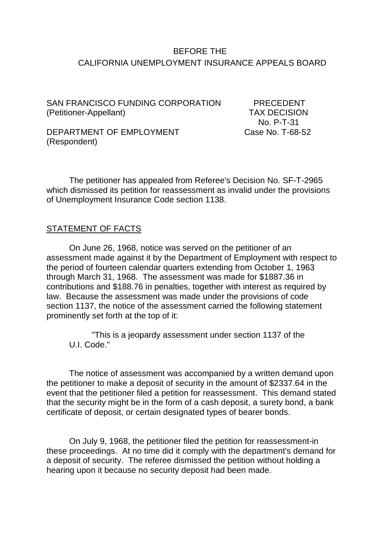# BEFORE THE CALIFORNIA UNEMPLOYMENT INSURANCE APPEALS BOARD

SAN FRANCISCO FUNDING CORPORATION PRECEDENT (Petitioner-Appellant) TAX DECISION

No. P-T-31<br>Case No. T-68-52

DEPARTMENT OF EMPLOYMENT (Respondent)

The petitioner has appealed from Referee's Decision No. SF-T-2965 which dismissed its petition for reassessment as invalid under the provisions of Unemployment Insurance Code section 1138.

#### STATEMENT OF FACTS

On June 26, 1968, notice was served on the petitioner of an assessment made against it by the Department of Employment with respect to the period of fourteen calendar quarters extending from October 1, 1963 through March 31, 1968. The assessment was made for \$1887.36 in contributions and \$188.76 in penalties, together with interest as required by law. Because the assessment was made under the provisions of code section 1137, the notice of the assessment carried the following statement prominently set forth at the top of it:

"This is a jeopardy assessment under section 1137 of the U.I. Code."

The notice of assessment was accompanied by a written demand upon the petitioner to make a deposit of security in the amount of \$2337.64 in the event that the petitioner filed a petition for reassessment. This demand stated that the security might be in the form of a cash deposit, a surety bond, a bank certificate of deposit, or certain designated types of bearer bonds.

On July 9, 1968, the petitioner filed the petition for reassessment-in these proceedings. At no time did it comply with the department's demand for a deposit of security. The referee dismissed the petition without holding a hearing upon it because no security deposit had been made.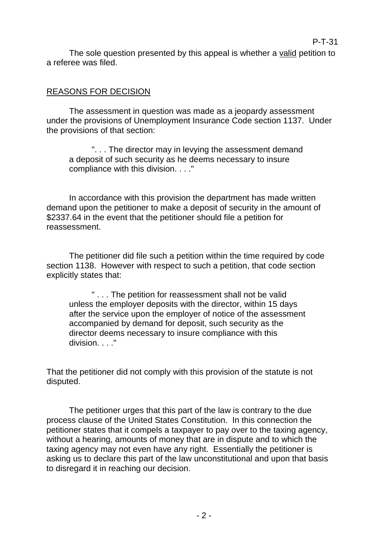The sole question presented by this appeal is whether a valid petition to a referee was filed.

P-T-31

## REASONS FOR DECISION

The assessment in question was made as a jeopardy assessment under the provisions of Unemployment Insurance Code section 1137. Under the provisions of that section:

". . . The director may in levying the assessment demand a deposit of such security as he deems necessary to insure compliance with this division. . . ."

In accordance with this provision the department has made written demand upon the petitioner to make a deposit of security in the amount of \$2337.64 in the event that the petitioner should file a petition for reassessment.

The petitioner did file such a petition within the time required by code section 1138. However with respect to such a petition, that code section explicitly states that:

" . . . The petition for reassessment shall not be valid unless the employer deposits with the director, within 15 days after the service upon the employer of notice of the assessment accompanied by demand for deposit, such security as the director deems necessary to insure compliance with this division. . . ."

That the petitioner did not comply with this provision of the statute is not disputed.

The petitioner urges that this part of the law is contrary to the due process clause of the United States Constitution. In this connection the petitioner states that it compels a taxpayer to pay over to the taxing agency, without a hearing, amounts of money that are in dispute and to which the taxing agency may not even have any right. Essentially the petitioner is asking us to declare this part of the law unconstitutional and upon that basis to disregard it in reaching our decision.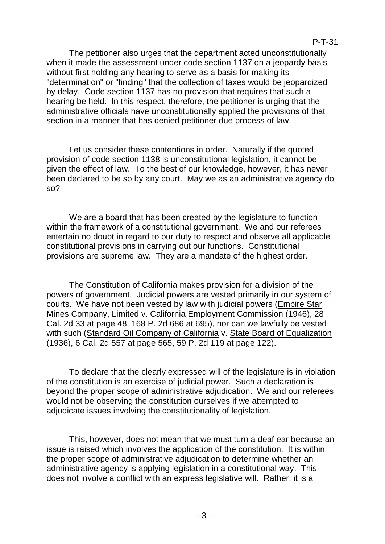The petitioner also urges that the department acted unconstitutionally when it made the assessment under code section 1137 on a jeopardy basis without first holding any hearing to serve as a basis for making its "determination" or "finding" that the collection of taxes would be jeopardized by delay. Code section 1137 has no provision that requires that such a hearing be held. In this respect, therefore, the petitioner is urging that the administrative officials have unconstitutionally applied the provisions of that section in a manner that has denied petitioner due process of law.

Let us consider these contentions in order. Naturally if the quoted provision of code section 1138 is unconstitutional legislation, it cannot be given the effect of law. To the best of our knowledge, however, it has never been declared to be so by any court. May we as an administrative agency do so?

We are a board that has been created by the legislature to function within the framework of a constitutional government. We and our referees entertain no doubt in regard to our duty to respect and observe all applicable constitutional provisions in carrying out our functions. Constitutional provisions are supreme law. They are a mandate of the highest order.

The Constitution of California makes provision for a division of the powers of government. Judicial powers are vested primarily in our system of courts. We have not been vested by law with judicial powers (Empire Star Mines Company, Limited v. California Employment Commission (1946), 28 Cal. 2d 33 at page 48, 168 P. 2d 686 at 695), nor can we lawfully be vested with such (Standard Oil Company of California v. State Board of Equalization (1936), 6 Cal. 2d 557 at page 565, 59 P. 2d 119 at page 122).

To declare that the clearly expressed will of the legislature is in violation of the constitution is an exercise of judicial power. Such a declaration is beyond the proper scope of administrative adjudication. We and our referees would not be observing the constitution ourselves if we attempted to adjudicate issues involving the constitutionality of legislation.

This, however, does not mean that we must turn a deaf ear because an issue is raised which involves the application of the constitution. It is within the proper scope of administrative adjudication to determine whether an administrative agency is applying legislation in a constitutional way. This does not involve a conflict with an express legislative will. Rather, it is a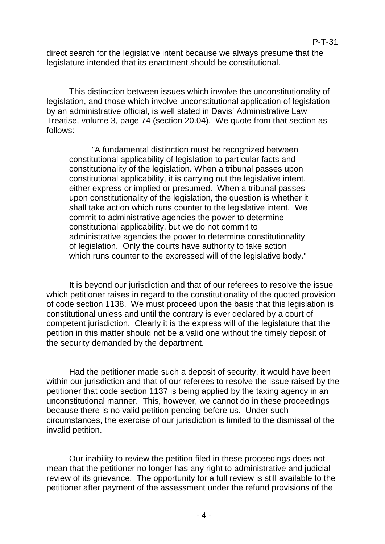direct search for the legislative intent because we always presume that the legislature intended that its enactment should be constitutional.

This distinction between issues which involve the unconstitutionality of legislation, and those which involve unconstitutional application of legislation by an administrative official, is well stated in Davis' Administrative Law Treatise, volume 3, page 74 (section 20.04). We quote from that section as follows:

"A fundamental distinction must be recognized between constitutional applicability of legislation to particular facts and constitutionality of the legislation. When a tribunal passes upon constitutional applicability, it is carrying out the legislative intent, either express or implied or presumed. When a tribunal passes upon constitutionality of the legislation, the question is whether it shall take action which runs counter to the legislative intent. We commit to administrative agencies the power to determine constitutional applicability, but we do not commit to administrative agencies the power to determine constitutionality of legislation. Only the courts have authority to take action which runs counter to the expressed will of the legislative body."

It is beyond our jurisdiction and that of our referees to resolve the issue which petitioner raises in regard to the constitutionality of the quoted provision of code section 1138. We must proceed upon the basis that this legislation is constitutional unless and until the contrary is ever declared by a court of competent jurisdiction. Clearly it is the express will of the legislature that the petition in this matter should not be a valid one without the timely deposit of the security demanded by the department.

Had the petitioner made such a deposit of security, it would have been within our jurisdiction and that of our referees to resolve the issue raised by the petitioner that code section 1137 is being applied by the taxing agency in an unconstitutional manner. This, however, we cannot do in these proceedings because there is no valid petition pending before us. Under such circumstances, the exercise of our jurisdiction is limited to the dismissal of the invalid petition.

Our inability to review the petition filed in these proceedings does not mean that the petitioner no longer has any right to administrative and judicial review of its grievance. The opportunity for a full review is still available to the petitioner after payment of the assessment under the refund provisions of the